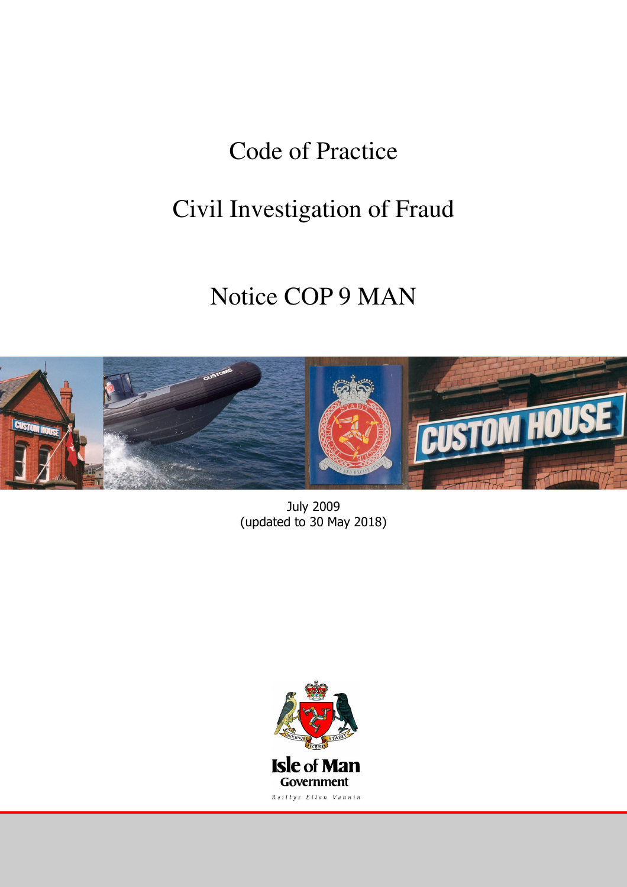# Code of Practice

# Civil Investigation of Fraud

# Notice COP 9 MAN



July 2009 (updated to 30 May 2018)

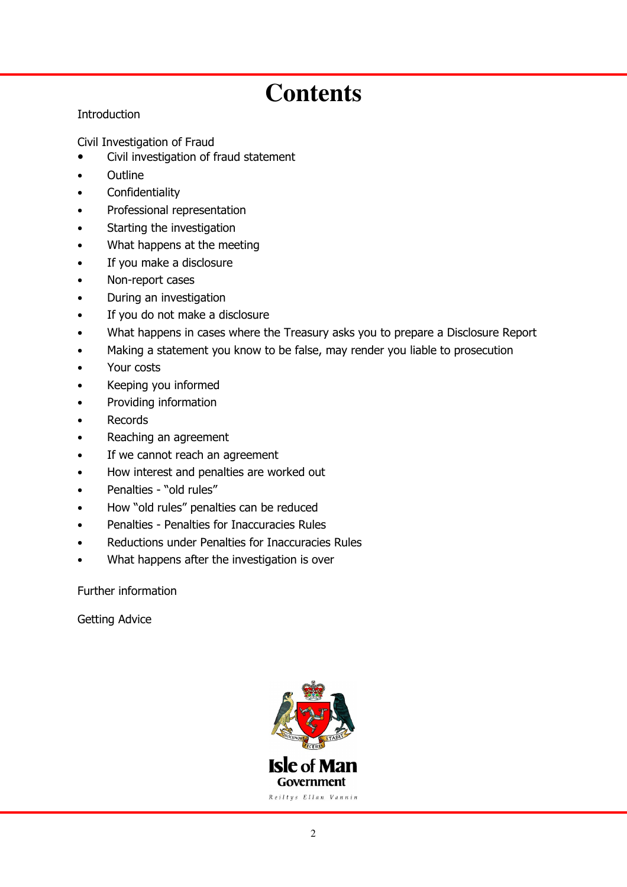# **Contents**

# **Introduction**

Civil Investigation of Fraud

- Civil investigation of fraud statement
- **Outline**
- **Confidentiality**
- Professional representation
- Starting the investigation
- What happens at the meeting
- If you make a disclosure
- Non-report cases
- During an investigation
- If you do not make a disclosure
- What happens in cases where the Treasury asks you to prepare a Disclosure Report
- Making a statement you know to be false, may render you liable to prosecution
- Your costs
- Keeping you informed
- Providing information
- **Records**
- Reaching an agreement
- If we cannot reach an agreement
- How interest and penalties are worked out
- Penalties "old rules"
- How "old rules" penalties can be reduced
- Penalties Penalties for Inaccuracies Rules
- Reductions under Penalties for Inaccuracies Rules
- What happens after the investigation is over

Further information

Getting Advice

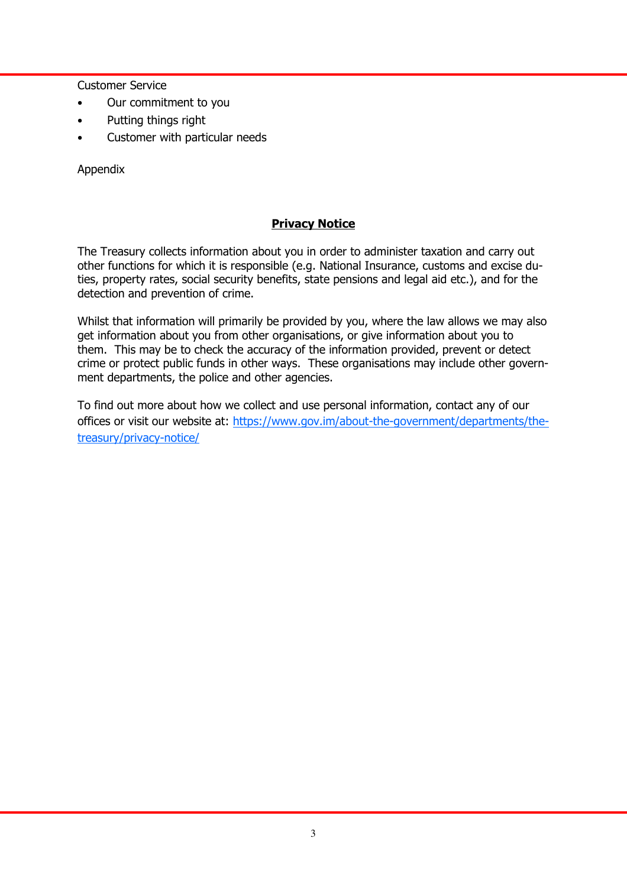Customer Service

- Our commitment to you
- Putting things right
- Customer with particular needs

Appendix

# Privacy Notice

The Treasury collects information about you in order to administer taxation and carry out other functions for which it is responsible (e.g. National Insurance, customs and excise duties, property rates, social security benefits, state pensions and legal aid etc.), and for the detection and prevention of crime.

Whilst that information will primarily be provided by you, where the law allows we may also get information about you from other organisations, or give information about you to them. This may be to check the accuracy of the information provided, prevent or detect crime or protect public funds in other ways. These organisations may include other government departments, the police and other agencies.

To find out more about how we collect and use personal information, contact any of our offices or visit our website at: https://www.gov.im/about-the-government/departments/thetreasury/privacy-notice/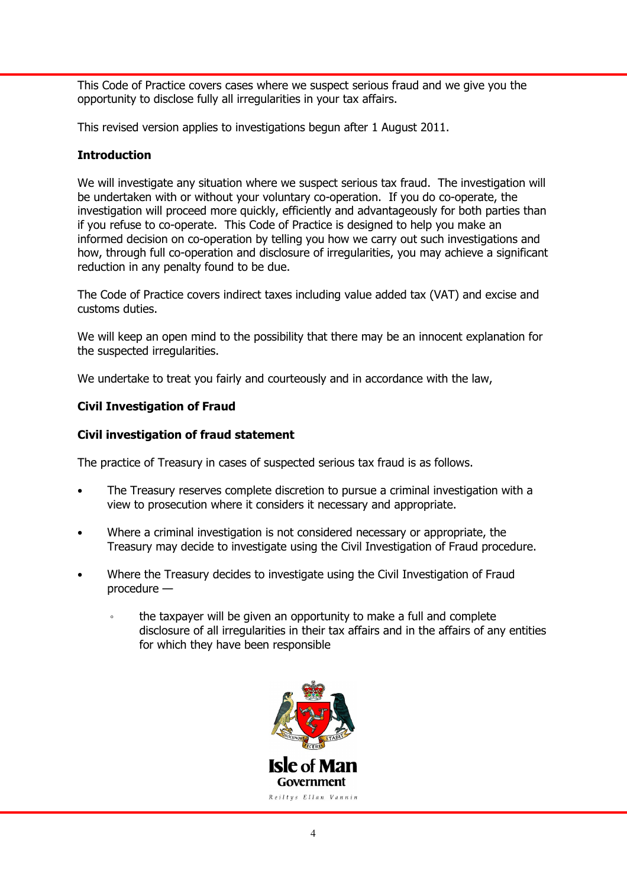This Code of Practice covers cases where we suspect serious fraud and we give you the opportunity to disclose fully all irregularities in your tax affairs.

This revised version applies to investigations begun after 1 August 2011.

# **Introduction**

We will investigate any situation where we suspect serious tax fraud. The investigation will be undertaken with or without your voluntary co-operation. If you do co-operate, the investigation will proceed more quickly, efficiently and advantageously for both parties than if you refuse to co-operate. This Code of Practice is designed to help you make an informed decision on co-operation by telling you how we carry out such investigations and how, through full co-operation and disclosure of irregularities, you may achieve a significant reduction in any penalty found to be due.

The Code of Practice covers indirect taxes including value added tax (VAT) and excise and customs duties.

We will keep an open mind to the possibility that there may be an innocent explanation for the suspected irregularities.

We undertake to treat you fairly and courteously and in accordance with the law,

# Civil Investigation of Fraud

# Civil investigation of fraud statement

The practice of Treasury in cases of suspected serious tax fraud is as follows.

- The Treasury reserves complete discretion to pursue a criminal investigation with a view to prosecution where it considers it necessary and appropriate.
- Where a criminal investigation is not considered necessary or appropriate, the Treasury may decide to investigate using the Civil Investigation of Fraud procedure.
- Where the Treasury decides to investigate using the Civil Investigation of Fraud procedure
	- the taxpayer will be given an opportunity to make a full and complete disclosure of all irregularities in their tax affairs and in the affairs of any entities for which they have been responsible

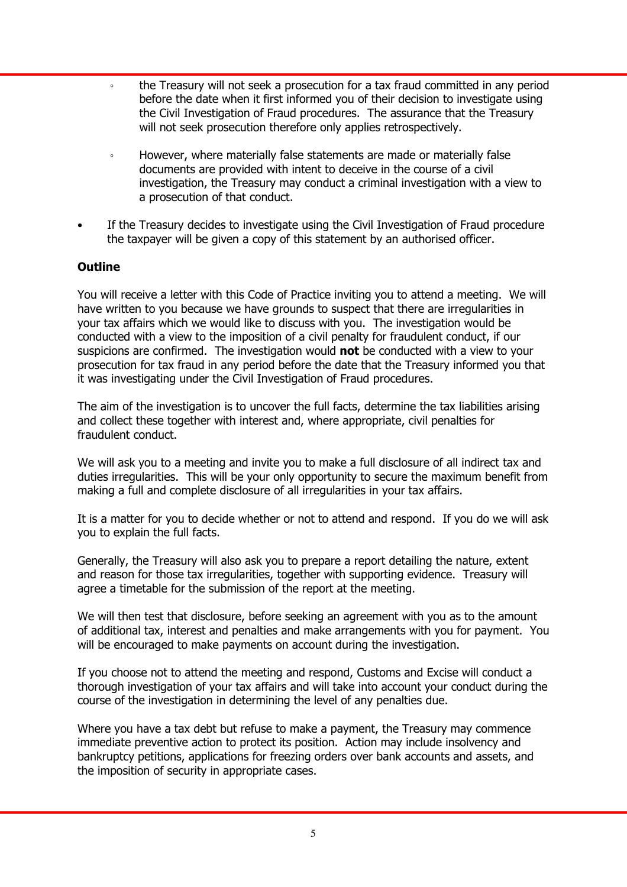- the Treasury will not seek a prosecution for a tax fraud committed in any period before the date when it first informed you of their decision to investigate using the Civil Investigation of Fraud procedures. The assurance that the Treasury will not seek prosecution therefore only applies retrospectively.
- However, where materially false statements are made or materially false documents are provided with intent to deceive in the course of a civil investigation, the Treasury may conduct a criminal investigation with a view to a prosecution of that conduct.
- If the Treasury decides to investigate using the Civil Investigation of Fraud procedure the taxpayer will be given a copy of this statement by an authorised officer.

## **Outline**

You will receive a letter with this Code of Practice inviting you to attend a meeting. We will have written to you because we have grounds to suspect that there are irregularities in your tax affairs which we would like to discuss with you. The investigation would be conducted with a view to the imposition of a civil penalty for fraudulent conduct, if our suspicions are confirmed. The investigation would not be conducted with a view to your prosecution for tax fraud in any period before the date that the Treasury informed you that it was investigating under the Civil Investigation of Fraud procedures.

The aim of the investigation is to uncover the full facts, determine the tax liabilities arising and collect these together with interest and, where appropriate, civil penalties for fraudulent conduct.

We will ask you to a meeting and invite you to make a full disclosure of all indirect tax and duties irregularities. This will be your only opportunity to secure the maximum benefit from making a full and complete disclosure of all irregularities in your tax affairs.

It is a matter for you to decide whether or not to attend and respond. If you do we will ask you to explain the full facts.

Generally, the Treasury will also ask you to prepare a report detailing the nature, extent and reason for those tax irregularities, together with supporting evidence. Treasury will agree a timetable for the submission of the report at the meeting.

We will then test that disclosure, before seeking an agreement with you as to the amount of additional tax, interest and penalties and make arrangements with you for payment. You will be encouraged to make payments on account during the investigation.

If you choose not to attend the meeting and respond, Customs and Excise will conduct a thorough investigation of your tax affairs and will take into account your conduct during the course of the investigation in determining the level of any penalties due.

Where you have a tax debt but refuse to make a payment, the Treasury may commence immediate preventive action to protect its position. Action may include insolvency and bankruptcy petitions, applications for freezing orders over bank accounts and assets, and the imposition of security in appropriate cases.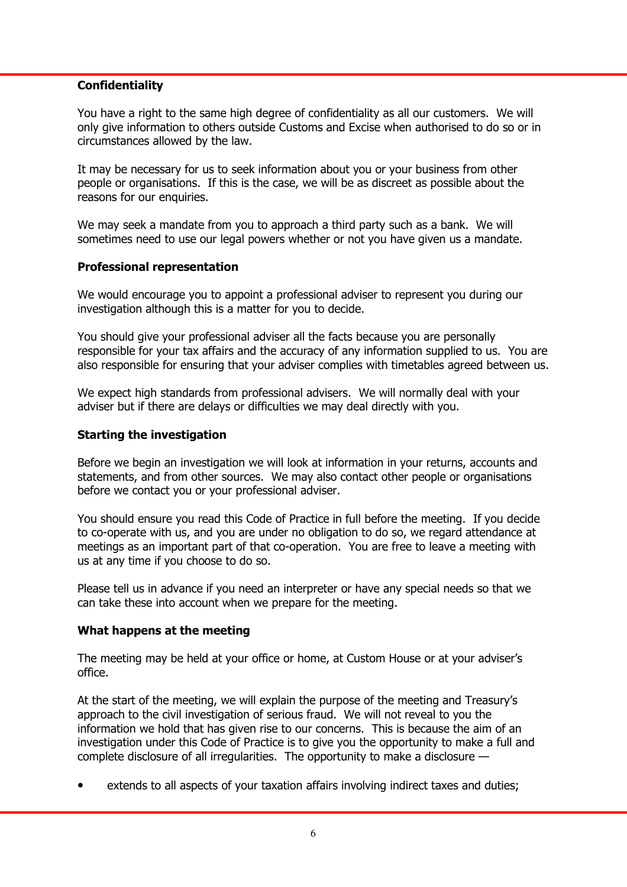#### **Confidentiality**

You have a right to the same high degree of confidentiality as all our customers. We will only give information to others outside Customs and Excise when authorised to do so or in circumstances allowed by the law.

It may be necessary for us to seek information about you or your business from other people or organisations. If this is the case, we will be as discreet as possible about the reasons for our enquiries.

We may seek a mandate from you to approach a third party such as a bank. We will sometimes need to use our legal powers whether or not you have given us a mandate.

## Professional representation

We would encourage you to appoint a professional adviser to represent you during our investigation although this is a matter for you to decide.

You should give your professional adviser all the facts because you are personally responsible for your tax affairs and the accuracy of any information supplied to us. You are also responsible for ensuring that your adviser complies with timetables agreed between us.

We expect high standards from professional advisers. We will normally deal with your adviser but if there are delays or difficulties we may deal directly with you.

## Starting the investigation

Before we begin an investigation we will look at information in your returns, accounts and statements, and from other sources. We may also contact other people or organisations before we contact you or your professional adviser.

You should ensure you read this Code of Practice in full before the meeting. If you decide to co-operate with us, and you are under no obligation to do so, we regard attendance at meetings as an important part of that co-operation. You are free to leave a meeting with us at any time if you choose to do so.

Please tell us in advance if you need an interpreter or have any special needs so that we can take these into account when we prepare for the meeting.

#### What happens at the meeting

The meeting may be held at your office or home, at Custom House or at your adviser's office.

At the start of the meeting, we will explain the purpose of the meeting and Treasury's approach to the civil investigation of serious fraud. We will not reveal to you the information we hold that has given rise to our concerns. This is because the aim of an investigation under this Code of Practice is to give you the opportunity to make a full and complete disclosure of all irregularities. The opportunity to make a disclosure —

extends to all aspects of your taxation affairs involving indirect taxes and duties;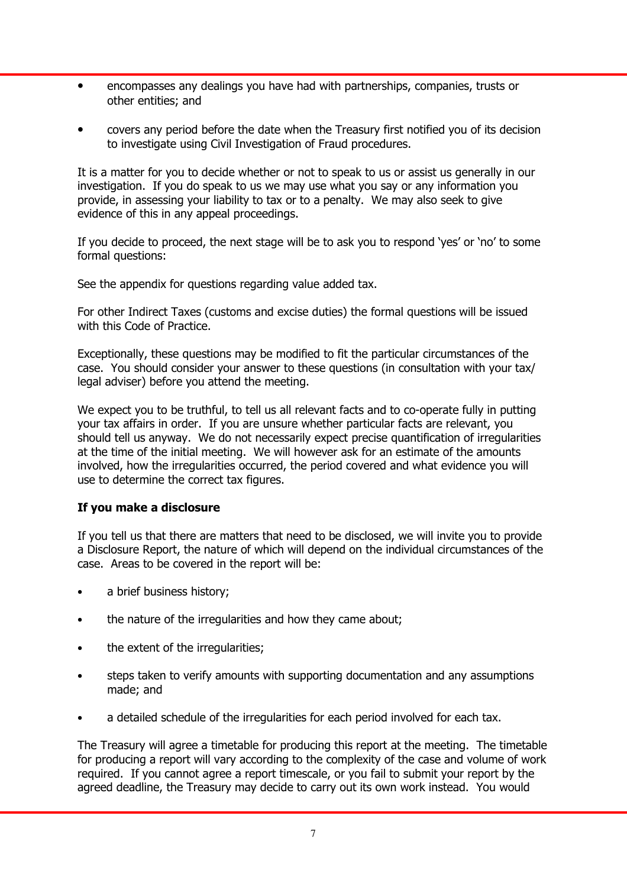- encompasses any dealings you have had with partnerships, companies, trusts or other entities; and
- covers any period before the date when the Treasury first notified you of its decision to investigate using Civil Investigation of Fraud procedures.

It is a matter for you to decide whether or not to speak to us or assist us generally in our investigation. If you do speak to us we may use what you say or any information you provide, in assessing your liability to tax or to a penalty. We may also seek to give evidence of this in any appeal proceedings.

If you decide to proceed, the next stage will be to ask you to respond 'yes' or 'no' to some formal questions:

See the appendix for questions regarding value added tax.

For other Indirect Taxes (customs and excise duties) the formal questions will be issued with this Code of Practice.

Exceptionally, these questions may be modified to fit the particular circumstances of the case. You should consider your answer to these questions (in consultation with your tax/ legal adviser) before you attend the meeting.

We expect you to be truthful, to tell us all relevant facts and to co-operate fully in putting your tax affairs in order. If you are unsure whether particular facts are relevant, you should tell us anyway. We do not necessarily expect precise quantification of irregularities at the time of the initial meeting. We will however ask for an estimate of the amounts involved, how the irregularities occurred, the period covered and what evidence you will use to determine the correct tax figures.

# If you make a disclosure

If you tell us that there are matters that need to be disclosed, we will invite you to provide a Disclosure Report, the nature of which will depend on the individual circumstances of the case. Areas to be covered in the report will be:

- a brief business history;
- the nature of the irregularities and how they came about;
- the extent of the irregularities;
- steps taken to verify amounts with supporting documentation and any assumptions made; and
- a detailed schedule of the irregularities for each period involved for each tax.

The Treasury will agree a timetable for producing this report at the meeting. The timetable for producing a report will vary according to the complexity of the case and volume of work required. If you cannot agree a report timescale, or you fail to submit your report by the agreed deadline, the Treasury may decide to carry out its own work instead. You would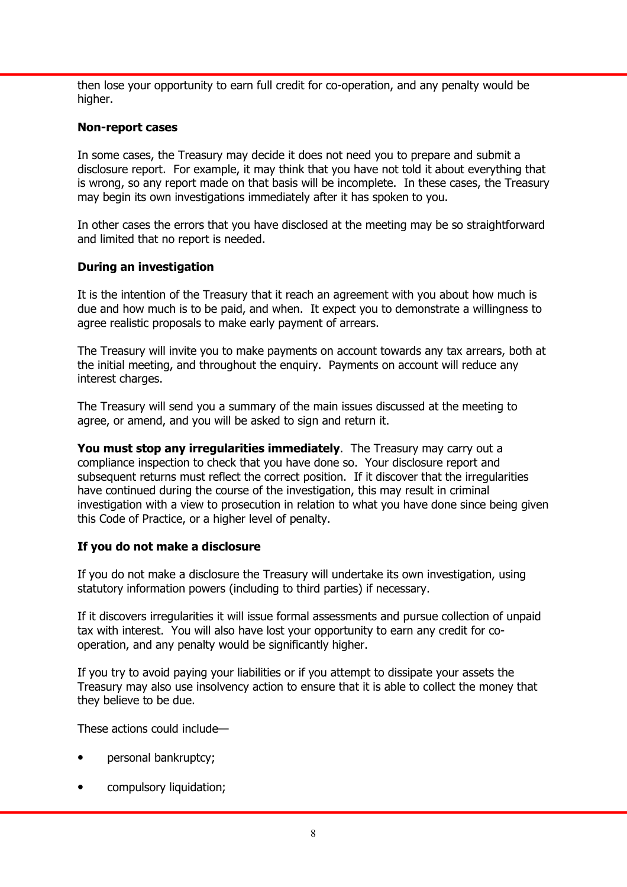then lose your opportunity to earn full credit for co-operation, and any penalty would be higher.

#### Non-report cases

In some cases, the Treasury may decide it does not need you to prepare and submit a disclosure report. For example, it may think that you have not told it about everything that is wrong, so any report made on that basis will be incomplete. In these cases, the Treasury may begin its own investigations immediately after it has spoken to you.

In other cases the errors that you have disclosed at the meeting may be so straightforward and limited that no report is needed.

## During an investigation

It is the intention of the Treasury that it reach an agreement with you about how much is due and how much is to be paid, and when. It expect you to demonstrate a willingness to agree realistic proposals to make early payment of arrears.

The Treasury will invite you to make payments on account towards any tax arrears, both at the initial meeting, and throughout the enquiry. Payments on account will reduce any interest charges.

The Treasury will send you a summary of the main issues discussed at the meeting to agree, or amend, and you will be asked to sign and return it.

You must stop any irregularities immediately. The Treasury may carry out a compliance inspection to check that you have done so. Your disclosure report and subsequent returns must reflect the correct position. If it discover that the irregularities have continued during the course of the investigation, this may result in criminal investigation with a view to prosecution in relation to what you have done since being given this Code of Practice, or a higher level of penalty.

# If you do not make a disclosure

If you do not make a disclosure the Treasury will undertake its own investigation, using statutory information powers (including to third parties) if necessary.

If it discovers irregularities it will issue formal assessments and pursue collection of unpaid tax with interest. You will also have lost your opportunity to earn any credit for cooperation, and any penalty would be significantly higher.

If you try to avoid paying your liabilities or if you attempt to dissipate your assets the Treasury may also use insolvency action to ensure that it is able to collect the money that they believe to be due.

These actions could include—

- personal bankruptcy;
- compulsory liquidation;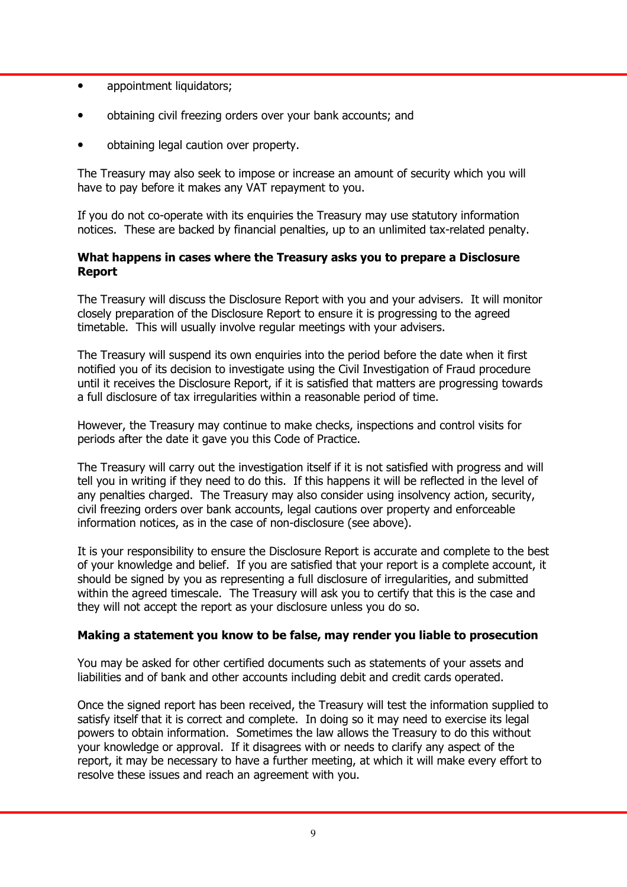- appointment liquidators;
- obtaining civil freezing orders over your bank accounts; and
- obtaining legal caution over property.

The Treasury may also seek to impose or increase an amount of security which you will have to pay before it makes any VAT repayment to you.

If you do not co-operate with its enquiries the Treasury may use statutory information notices. These are backed by financial penalties, up to an unlimited tax-related penalty.

## What happens in cases where the Treasury asks you to prepare a Disclosure Report

The Treasury will discuss the Disclosure Report with you and your advisers. It will monitor closely preparation of the Disclosure Report to ensure it is progressing to the agreed timetable. This will usually involve regular meetings with your advisers.

The Treasury will suspend its own enquiries into the period before the date when it first notified you of its decision to investigate using the Civil Investigation of Fraud procedure until it receives the Disclosure Report, if it is satisfied that matters are progressing towards a full disclosure of tax irregularities within a reasonable period of time.

However, the Treasury may continue to make checks, inspections and control visits for periods after the date it gave you this Code of Practice.

The Treasury will carry out the investigation itself if it is not satisfied with progress and will tell you in writing if they need to do this. If this happens it will be reflected in the level of any penalties charged. The Treasury may also consider using insolvency action, security, civil freezing orders over bank accounts, legal cautions over property and enforceable information notices, as in the case of non-disclosure (see above).

It is your responsibility to ensure the Disclosure Report is accurate and complete to the best of your knowledge and belief. If you are satisfied that your report is a complete account, it should be signed by you as representing a full disclosure of irregularities, and submitted within the agreed timescale. The Treasury will ask you to certify that this is the case and they will not accept the report as your disclosure unless you do so.

#### Making a statement you know to be false, may render you liable to prosecution

You may be asked for other certified documents such as statements of your assets and liabilities and of bank and other accounts including debit and credit cards operated.

Once the signed report has been received, the Treasury will test the information supplied to satisfy itself that it is correct and complete. In doing so it may need to exercise its legal powers to obtain information. Sometimes the law allows the Treasury to do this without your knowledge or approval. If it disagrees with or needs to clarify any aspect of the report, it may be necessary to have a further meeting, at which it will make every effort to resolve these issues and reach an agreement with you.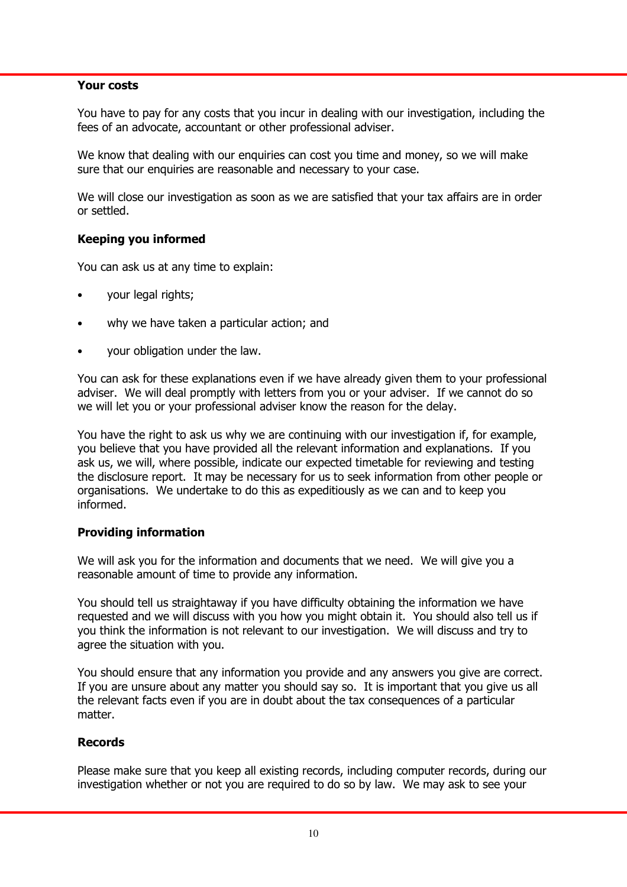#### Your costs

You have to pay for any costs that you incur in dealing with our investigation, including the fees of an advocate, accountant or other professional adviser.

We know that dealing with our enquiries can cost you time and money, so we will make sure that our enquiries are reasonable and necessary to your case.

We will close our investigation as soon as we are satisfied that your tax affairs are in order or settled.

## Keeping you informed

You can ask us at any time to explain:

- your legal rights;
- why we have taken a particular action; and
- your obligation under the law.

You can ask for these explanations even if we have already given them to your professional adviser. We will deal promptly with letters from you or your adviser. If we cannot do so we will let you or your professional adviser know the reason for the delay.

You have the right to ask us why we are continuing with our investigation if, for example, you believe that you have provided all the relevant information and explanations. If you ask us, we will, where possible, indicate our expected timetable for reviewing and testing the disclosure report. It may be necessary for us to seek information from other people or organisations. We undertake to do this as expeditiously as we can and to keep you informed.

#### Providing information

We will ask you for the information and documents that we need. We will give you a reasonable amount of time to provide any information.

You should tell us straightaway if you have difficulty obtaining the information we have requested and we will discuss with you how you might obtain it. You should also tell us if you think the information is not relevant to our investigation. We will discuss and try to agree the situation with you.

You should ensure that any information you provide and any answers you give are correct. If you are unsure about any matter you should say so. It is important that you give us all the relevant facts even if you are in doubt about the tax consequences of a particular matter.

#### Records

Please make sure that you keep all existing records, including computer records, during our investigation whether or not you are required to do so by law. We may ask to see your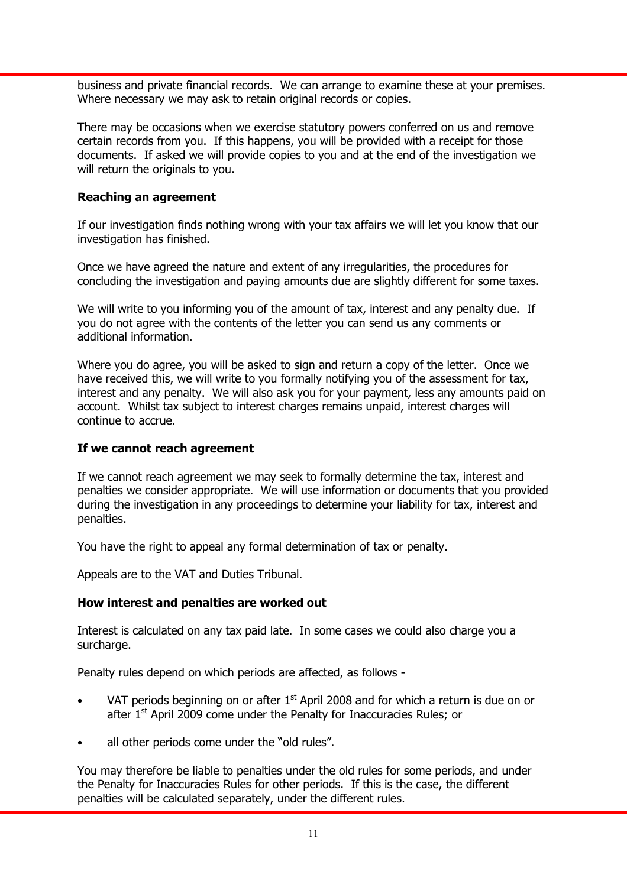business and private financial records. We can arrange to examine these at your premises. Where necessary we may ask to retain original records or copies.

There may be occasions when we exercise statutory powers conferred on us and remove certain records from you. If this happens, you will be provided with a receipt for those documents. If asked we will provide copies to you and at the end of the investigation we will return the originals to you.

## Reaching an agreement

If our investigation finds nothing wrong with your tax affairs we will let you know that our investigation has finished.

Once we have agreed the nature and extent of any irregularities, the procedures for concluding the investigation and paying amounts due are slightly different for some taxes.

We will write to you informing you of the amount of tax, interest and any penalty due. If you do not agree with the contents of the letter you can send us any comments or additional information.

Where you do agree, you will be asked to sign and return a copy of the letter. Once we have received this, we will write to you formally notifying you of the assessment for tax, interest and any penalty. We will also ask you for your payment, less any amounts paid on account. Whilst tax subject to interest charges remains unpaid, interest charges will continue to accrue.

#### If we cannot reach agreement

If we cannot reach agreement we may seek to formally determine the tax, interest and penalties we consider appropriate. We will use information or documents that you provided during the investigation in any proceedings to determine your liability for tax, interest and penalties.

You have the right to appeal any formal determination of tax or penalty.

Appeals are to the VAT and Duties Tribunal.

#### How interest and penalties are worked out

Interest is calculated on any tax paid late. In some cases we could also charge you a surcharge.

Penalty rules depend on which periods are affected, as follows -

- VAT periods beginning on or after  $1<sup>st</sup>$  April 2008 and for which a return is due on or after  $1<sup>st</sup>$  April 2009 come under the Penalty for Inaccuracies Rules; or
- all other periods come under the "old rules".

You may therefore be liable to penalties under the old rules for some periods, and under the Penalty for Inaccuracies Rules for other periods. If this is the case, the different penalties will be calculated separately, under the different rules.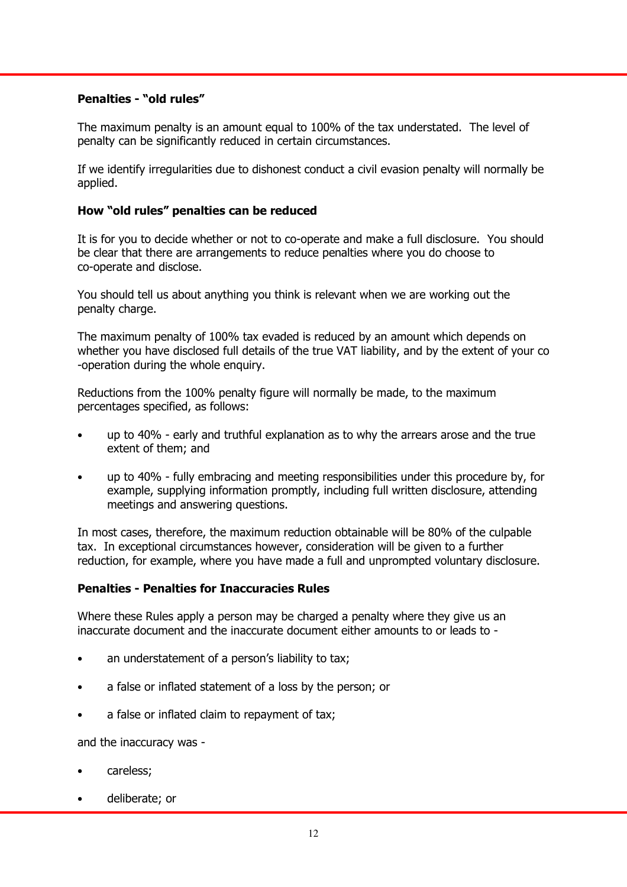# Penalties - "old rules"

The maximum penalty is an amount equal to 100% of the tax understated. The level of penalty can be significantly reduced in certain circumstances.

If we identify irregularities due to dishonest conduct a civil evasion penalty will normally be applied.

## How "old rules" penalties can be reduced

It is for you to decide whether or not to co-operate and make a full disclosure. You should be clear that there are arrangements to reduce penalties where you do choose to co-operate and disclose.

You should tell us about anything you think is relevant when we are working out the penalty charge.

The maximum penalty of 100% tax evaded is reduced by an amount which depends on whether you have disclosed full details of the true VAT liability, and by the extent of your co -operation during the whole enquiry.

Reductions from the 100% penalty figure will normally be made, to the maximum percentages specified, as follows:

- up to 40% early and truthful explanation as to why the arrears arose and the true extent of them; and
- up to 40% fully embracing and meeting responsibilities under this procedure by, for example, supplying information promptly, including full written disclosure, attending meetings and answering questions.

In most cases, therefore, the maximum reduction obtainable will be 80% of the culpable tax. In exceptional circumstances however, consideration will be given to a further reduction, for example, where you have made a full and unprompted voluntary disclosure.

#### Penalties - Penalties for Inaccuracies Rules

Where these Rules apply a person may be charged a penalty where they give us an inaccurate document and the inaccurate document either amounts to or leads to -

- an understatement of a person's liability to tax;
- a false or inflated statement of a loss by the person; or
- a false or inflated claim to repayment of tax;

and the inaccuracy was -

- careless;
- deliberate; or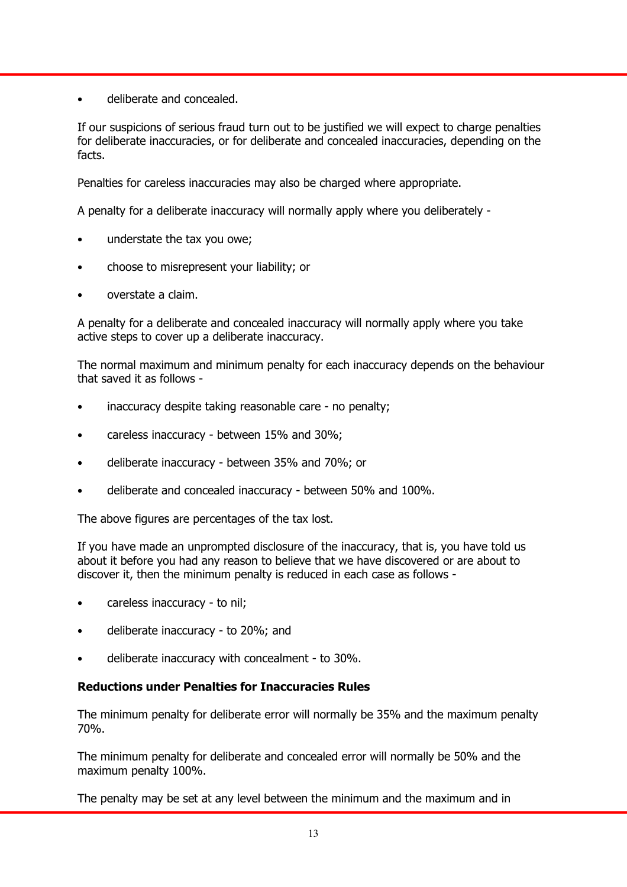• deliberate and concealed.

If our suspicions of serious fraud turn out to be justified we will expect to charge penalties for deliberate inaccuracies, or for deliberate and concealed inaccuracies, depending on the facts.

Penalties for careless inaccuracies may also be charged where appropriate.

A penalty for a deliberate inaccuracy will normally apply where you deliberately -

- understate the tax you owe;
- choose to misrepresent your liability; or
- overstate a claim.

A penalty for a deliberate and concealed inaccuracy will normally apply where you take active steps to cover up a deliberate inaccuracy.

The normal maximum and minimum penalty for each inaccuracy depends on the behaviour that saved it as follows -

- inaccuracy despite taking reasonable care no penalty;
- careless inaccuracy between 15% and 30%;
- deliberate inaccuracy between 35% and 70%; or
- deliberate and concealed inaccuracy between 50% and 100%.

The above figures are percentages of the tax lost.

If you have made an unprompted disclosure of the inaccuracy, that is, you have told us about it before you had any reason to believe that we have discovered or are about to discover it, then the minimum penalty is reduced in each case as follows -

- careless inaccuracy to nil;
- deliberate inaccuracy to 20%; and
- deliberate inaccuracy with concealment to 30%.

# Reductions under Penalties for Inaccuracies Rules

The minimum penalty for deliberate error will normally be 35% and the maximum penalty 70%.

The minimum penalty for deliberate and concealed error will normally be 50% and the maximum penalty 100%.

The penalty may be set at any level between the minimum and the maximum and in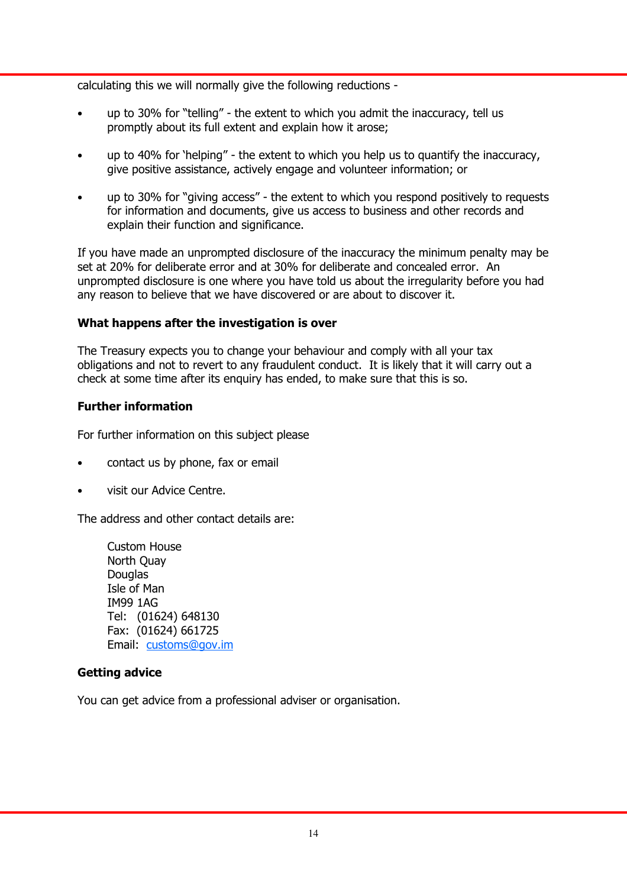calculating this we will normally give the following reductions -

- up to 30% for "telling" the extent to which you admit the inaccuracy, tell us promptly about its full extent and explain how it arose;
- up to 40% for 'helping" the extent to which you help us to quantify the inaccuracy, give positive assistance, actively engage and volunteer information; or
- up to 30% for "giving access" the extent to which you respond positively to requests for information and documents, give us access to business and other records and explain their function and significance.

If you have made an unprompted disclosure of the inaccuracy the minimum penalty may be set at 20% for deliberate error and at 30% for deliberate and concealed error. An unprompted disclosure is one where you have told us about the irregularity before you had any reason to believe that we have discovered or are about to discover it.

## What happens after the investigation is over

The Treasury expects you to change your behaviour and comply with all your tax obligations and not to revert to any fraudulent conduct. It is likely that it will carry out a check at some time after its enquiry has ended, to make sure that this is so.

# Further information

For further information on this subject please

- contact us by phone, fax or email
- visit our Advice Centre.

The address and other contact details are:

 Custom House North Quay Douglas Isle of Man IM99 1AG Tel: (01624) 648130 Fax: (01624) 661725 Email: customs@gov.im

# Getting advice

You can get advice from a professional adviser or organisation.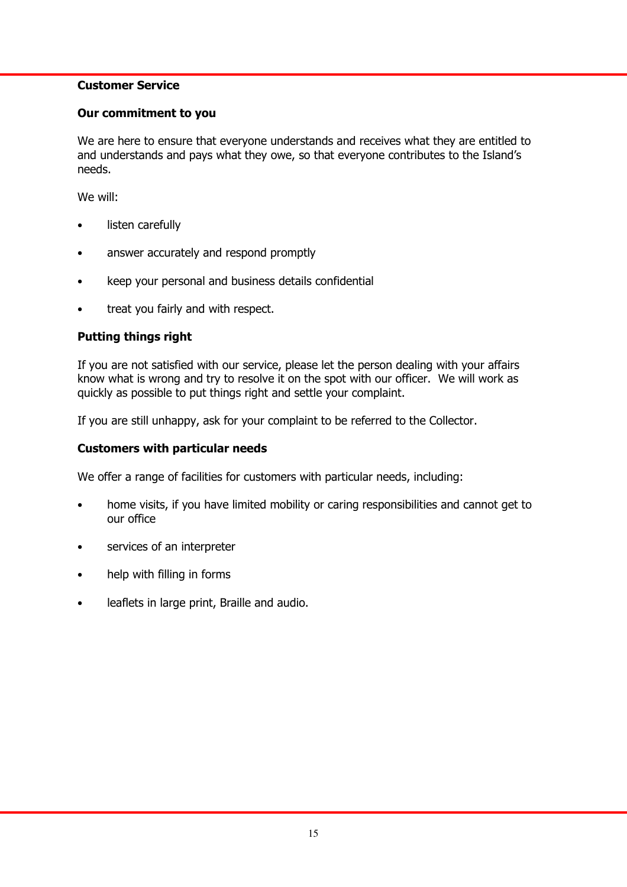## Customer Service

#### Our commitment to you

We are here to ensure that everyone understands and receives what they are entitled to and understands and pays what they owe, so that everyone contributes to the Island's needs.

We will:

- listen carefully
- answer accurately and respond promptly
- keep your personal and business details confidential
- treat you fairly and with respect.

# Putting things right

If you are not satisfied with our service, please let the person dealing with your affairs know what is wrong and try to resolve it on the spot with our officer. We will work as quickly as possible to put things right and settle your complaint.

If you are still unhappy, ask for your complaint to be referred to the Collector.

# Customers with particular needs

We offer a range of facilities for customers with particular needs, including:

- home visits, if you have limited mobility or caring responsibilities and cannot get to our office
- services of an interpreter
- help with filling in forms
- leaflets in large print, Braille and audio.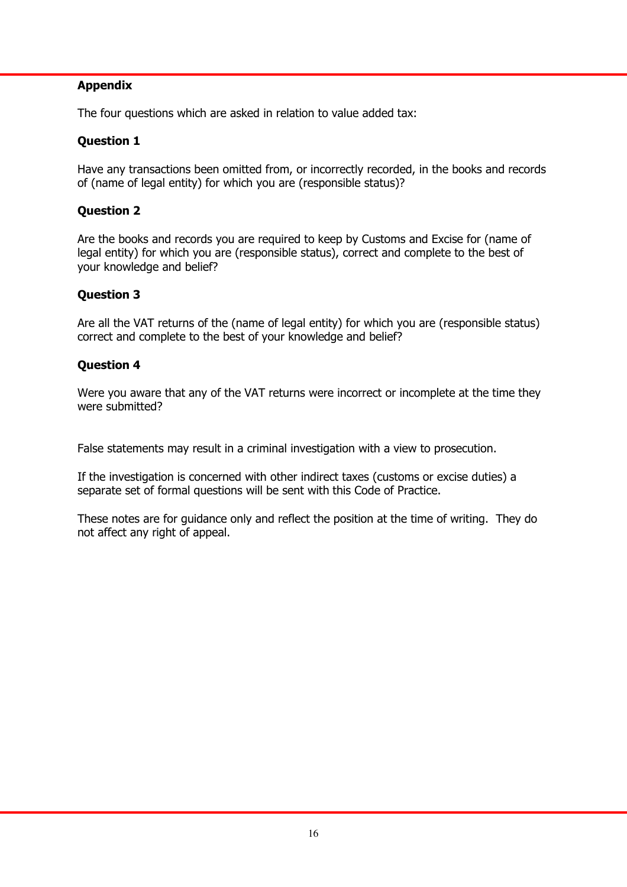# Appendix

The four questions which are asked in relation to value added tax:

# Question 1

Have any transactions been omitted from, or incorrectly recorded, in the books and records of (name of legal entity) for which you are (responsible status)?

# Question 2

Are the books and records you are required to keep by Customs and Excise for (name of legal entity) for which you are (responsible status), correct and complete to the best of your knowledge and belief?

# Question 3

Are all the VAT returns of the (name of legal entity) for which you are (responsible status) correct and complete to the best of your knowledge and belief?

## Question 4

Were you aware that any of the VAT returns were incorrect or incomplete at the time they were submitted?

False statements may result in a criminal investigation with a view to prosecution.

If the investigation is concerned with other indirect taxes (customs or excise duties) a separate set of formal questions will be sent with this Code of Practice.

These notes are for guidance only and reflect the position at the time of writing. They do not affect any right of appeal.